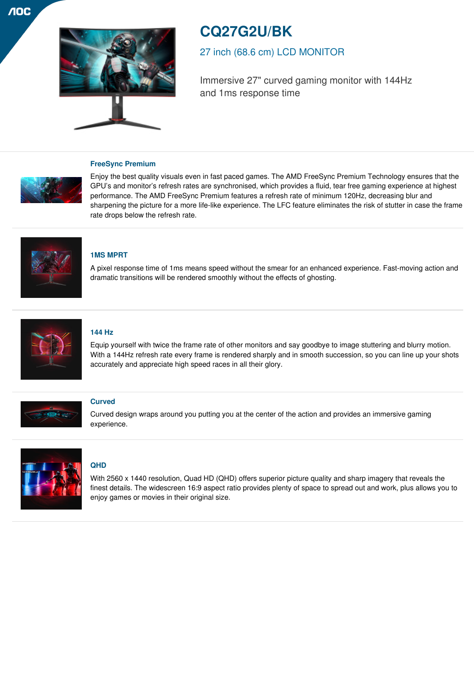

# **CQ27G2U/BK**

27 inch (68.6 cm) LCD MONITOR

Immersive 27" curved gaming monitor with 144Hz and 1ms response time

# **FreeSync Premium**

Enjoy the best quality visuals even in fast paced games. The AMD FreeSync Premium Technology ensures that the GPU's and monitor's refresh rates are synchronised, which provides a fluid, tear free gaming experience at highest performance. The AMD FreeSync Premium features a refresh rate of minimum 120Hz, decreasing blur and sharpening the picture for a more life-like experience. The LFC feature eliminates the risk of stutter in case the frame rate drops below the refresh rate.



#### **1MS MPRT**

A pixel response time of 1ms means speed without the smear for an enhanced experience. Fast-moving action and dramatic transitions will be rendered smoothly without the effects of ghosting.



# **144 Hz**

Equip yourself with twice the frame rate of other monitors and say goodbye to image stuttering and blurry motion. With a 144Hz refresh rate every frame is rendered sharply and in smooth succession, so you can line up your shots accurately and appreciate high speed races in all their glory.



# **Curved**

Curved design wraps around you putting you at the center of the action and provides an immersive gaming experience.



# **QHD**

With 2560 x 1440 resolution, Quad HD (QHD) offers superior picture quality and sharp imagery that reveals the finest details. The widescreen 16:9 aspect ratio provides plenty of space to spread out and work, plus allows you to enjoy games or movies in their original size.